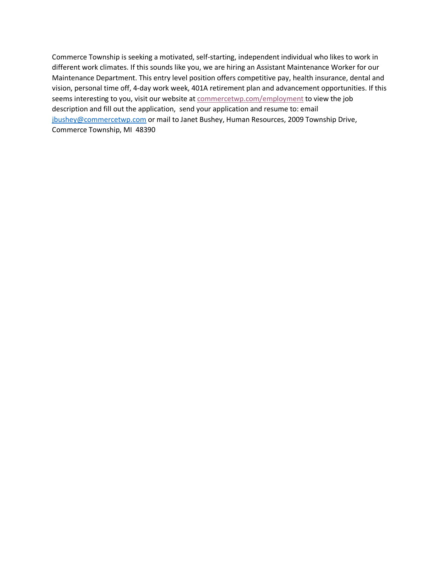Commerce Township is seeking a motivated, self-starting, independent individual who likes to work in different work climates. If this sounds like you, we are hiring an Assistant Maintenance Worker for our Maintenance Department. This entry level position offers competitive pay, health insurance, dental and vision, personal time off, 4-day work week, 401A retirement plan and advancement opportunities. If this seems interesting to you, visit our website at commercetwp.com/employment to view the job description and fill out the application, send your application and resume to: email jbushey@commercetwp.com or mail to Janet Bushey, Human Resources, 2009 Township Drive, Commerce Township, MI 48390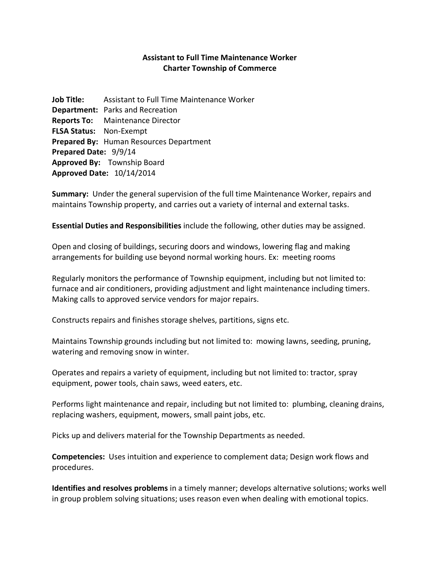## **Assistant to Full Time Maintenance Worker Charter Township of Commerce**

**Job Title:** Assistant to Full Time Maintenance Worker **Department:** Parks and Recreation **Reports To:** Maintenance Director **FLSA Status:** Non-Exempt **Prepared By:** Human Resources Department **Prepared Date:** 9/9/14 **Approved By:** Township Board **Approved Date:** 10/14/2014

**Summary:** Under the general supervision of the full time Maintenance Worker, repairs and maintains Township property, and carries out a variety of internal and external tasks.

**Essential Duties and Responsibilities** include the following, other duties may be assigned.

Open and closing of buildings, securing doors and windows, lowering flag and making arrangements for building use beyond normal working hours. Ex: meeting rooms

Regularly monitors the performance of Township equipment, including but not limited to: furnace and air conditioners, providing adjustment and light maintenance including timers. Making calls to approved service vendors for major repairs.

Constructs repairs and finishes storage shelves, partitions, signs etc.

Maintains Township grounds including but not limited to: mowing lawns, seeding, pruning, watering and removing snow in winter.

Operates and repairs a variety of equipment, including but not limited to: tractor, spray equipment, power tools, chain saws, weed eaters, etc.

Performs light maintenance and repair, including but not limited to: plumbing, cleaning drains, replacing washers, equipment, mowers, small paint jobs, etc.

Picks up and delivers material for the Township Departments as needed.

**Competencies:** Uses intuition and experience to complement data; Design work flows and procedures.

**Identifies and resolves problems** in a timely manner; develops alternative solutions; works well in group problem solving situations; uses reason even when dealing with emotional topics.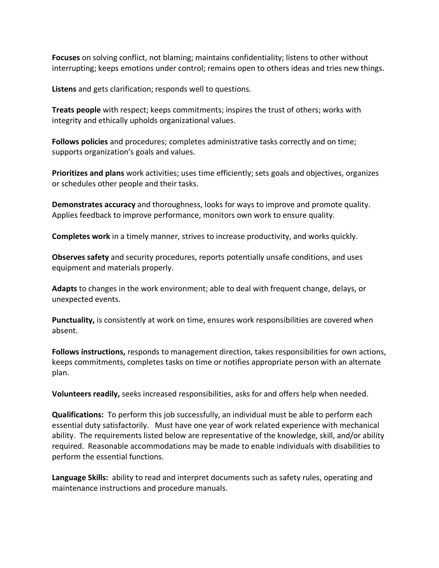**Focuses** on solving conflict, not blaming; maintains confidentiality; listens to other without interrupting; keeps emotions under control; remains open to others ideas and tries new things.

**Listens** and gets clarification; responds well to questions.

**Treats people** with respect; keeps commitments; inspires the trust of others; works with integrity and ethically upholds organizational values.

**Follows policies** and procedures; completes administrative tasks correctly and on time; supports organization's goals and values.

**Prioritizes and plans** work activities; uses time efficiently; sets goals and objectives, organizes or schedules other people and their tasks.

**Demonstrates accuracy** and thoroughness, looks for ways to improve and promote quality. Applies feedback to improve performance, monitors own work to ensure quality.

**Completes work** in a timely manner, strives to increase productivity, and works quickly.

**Observes safety** and security procedures, reports potentially unsafe conditions, and uses equipment and materials properly.

**Adapts** to changes in the work environment; able to deal with frequent change, delays, or unexpected events.

**Punctuality,** is consistently at work on time, ensures work responsibilities are covered when absent.

**Follows instructions,** responds to management direction, takes responsibilities for own actions, keeps commitments, completes tasks on time or notifies appropriate person with an alternate plan.

**Volunteers readily,** seeks increased responsibilities, asks for and offers help when needed.

**Qualifications:** To perform this job successfully, an individual must be able to perform each essential duty satisfactorily. Must have one year of work related experience with mechanical ability. The requirements listed below are representative of the knowledge, skill, and/or ability required. Reasonable accommodations may be made to enable individuals with disabilities to perform the essential functions.

**Language Skills:** ability to read and interpret documents such as safety rules, operating and maintenance instructions and procedure manuals.